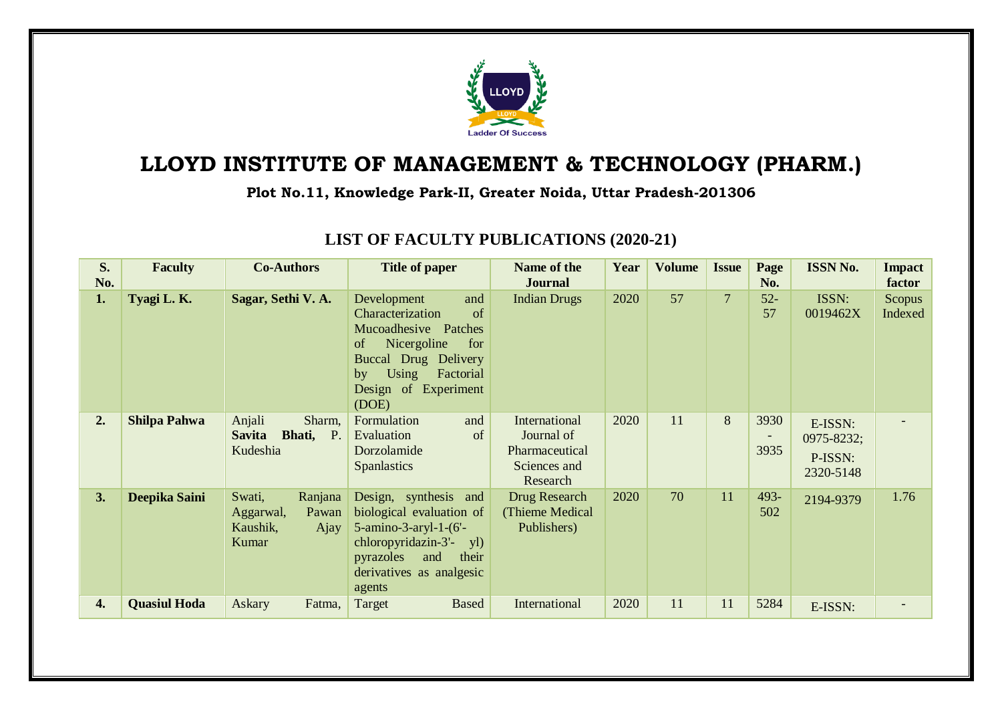

## **LLOYD INSTITUTE OF MANAGEMENT & TECHNOLOGY (PHARM.)**

**Plot No.11, Knowledge Park-II, Greater Noida, Uttar Pradesh-201306**

| S.<br>No. | <b>Faculty</b>      | <b>Co-Authors</b>                                                    | <b>Title of paper</b>                                                                                                                                                                 | Name of the<br><b>Journal</b>                                             | Year | <b>Volume</b> | <b>Issue</b>   | Page<br>No.  | <b>ISSN No.</b>                               | <b>Impact</b><br>factor |
|-----------|---------------------|----------------------------------------------------------------------|---------------------------------------------------------------------------------------------------------------------------------------------------------------------------------------|---------------------------------------------------------------------------|------|---------------|----------------|--------------|-----------------------------------------------|-------------------------|
| 1.        | Tyagi L.K.          | Sagar, Sethi V. A.                                                   | Development<br>and<br>Characterization<br>of<br>Mucoadhesive Patches<br>Nicergoline<br>of<br>for<br>Buccal Drug Delivery<br>Using<br>Factorial<br>by<br>Design of Experiment<br>(DOE) | <b>Indian Drugs</b>                                                       | 2020 | 57            | $\overline{7}$ | $52-$<br>57  | ISSN:<br>0019462X                             | Scopus<br>Indexed       |
| 2.        | <b>Shilpa Pahwa</b> | Anjali<br>Sharm,<br><b>Savita</b><br>Bhati,<br>$P$ .<br>Kudeshia     | Formulation<br>and<br>Evaluation<br>of<br>Dorzolamide<br><b>Spanlastics</b>                                                                                                           | International<br>Journal of<br>Pharmaceutical<br>Sciences and<br>Research | 2020 | 11            | 8              | 3930<br>3935 | E-ISSN:<br>0975-8232;<br>P-ISSN:<br>2320-5148 |                         |
| 3.        | Deepika Saini       | Swati,<br>Ranjana<br>Pawan<br>Aggarwal,<br>Kaushik,<br>Ajay<br>Kumar | Design, synthesis and<br>biological evaluation of<br>$5$ -amino-3-aryl-1- $(6'$ -<br>chloropyridazin-3'- yl)<br>pyrazoles<br>their<br>and<br>derivatives as analgesic<br>agents       | Drug Research<br>(Thieme Medical)<br>Publishers)                          | 2020 | 70            | 11             | 493-<br>502  | 2194-9379                                     | 1.76                    |
| 4.        | <b>Quasiul Hoda</b> | Askary<br>Fatma,                                                     | Target<br><b>Based</b>                                                                                                                                                                | International                                                             | 2020 | 11            | 11             | 5284         | E-ISSN:                                       |                         |

## **LIST OF FACULTY PUBLICATIONS (2020-21)**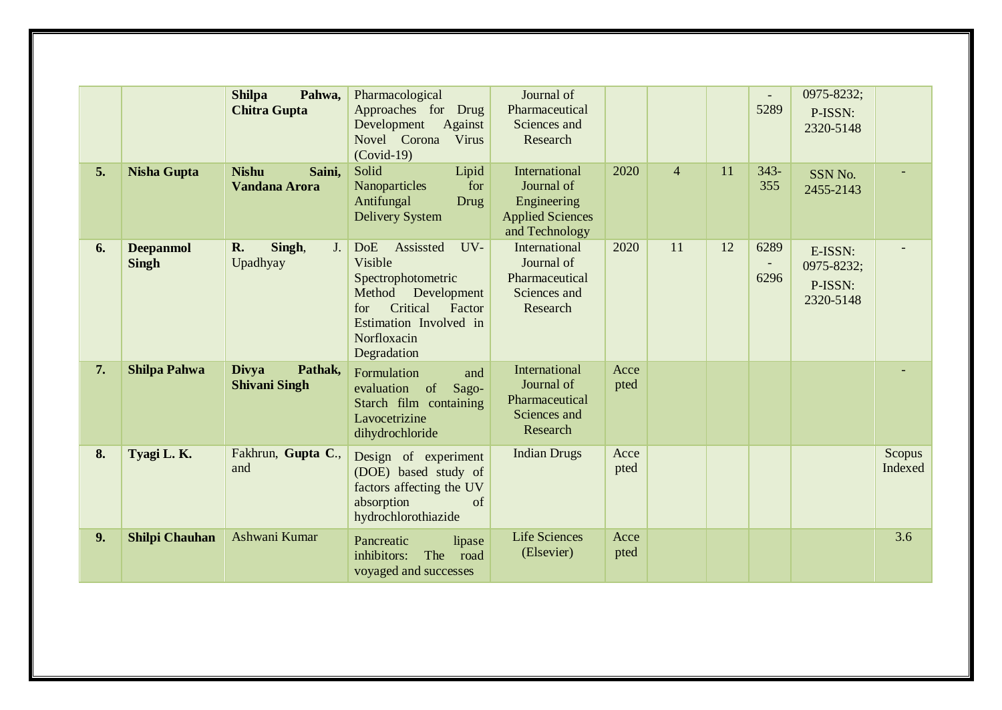|    |                                  | Pahwa,<br><b>Shilpa</b><br><b>Chitra Gupta</b>  | Pharmacological<br>Approaches for<br>Drug<br>Development<br>Against<br>Novel Corona<br>Virus<br>$(Covid-19)$                                                                  | Journal of<br>Pharmaceutical<br>Sciences and<br>Research                                |              |                |    | $\overline{\phantom{a}}$<br>5289 | 0975-8232;<br>P-ISSN:<br>2320-5148            |                   |
|----|----------------------------------|-------------------------------------------------|-------------------------------------------------------------------------------------------------------------------------------------------------------------------------------|-----------------------------------------------------------------------------------------|--------------|----------------|----|----------------------------------|-----------------------------------------------|-------------------|
| 5. | <b>Nisha Gupta</b>               | <b>Nishu</b><br>Saini,<br><b>Vandana Arora</b>  | Solid<br>Lipid<br>Nanoparticles<br>for<br>Antifungal<br>Drug<br><b>Delivery System</b>                                                                                        | International<br>Journal of<br>Engineering<br><b>Applied Sciences</b><br>and Technology | 2020         | $\overline{4}$ | 11 | $343-$<br>355                    | SSN No.<br>2455-2143                          |                   |
| 6. | <b>Deepanmol</b><br><b>Singh</b> | R.<br>Singh,<br>J <sub>r</sub><br>Upadhyay      | Assissted<br><b>DoE</b><br>UV-<br>Visible<br>Spectrophotometric<br>Development<br>Method<br>Critical<br>Factor<br>for<br>Estimation Involved in<br>Norfloxacin<br>Degradation | International<br>Journal of<br>Pharmaceutical<br>Sciences and<br>Research               | 2020         | 11             | 12 | 6289<br>6296                     | E-ISSN:<br>0975-8232;<br>P-ISSN:<br>2320-5148 |                   |
| 7. | <b>Shilpa Pahwa</b>              | Pathak,<br><b>Divya</b><br><b>Shivani Singh</b> | Formulation<br>and<br>evaluation<br>of<br>Sago-<br>Starch film containing<br>Lavocetrizine<br>dihydrochloride                                                                 | International<br>Journal of<br>Pharmaceutical<br>Sciences and<br>Research               | Acce<br>pted |                |    |                                  |                                               |                   |
| 8. | Tyagi L.K.                       | Fakhrun, Gupta C.,<br>and                       | Design of experiment<br>(DOE) based study of<br>factors affecting the UV<br>absorption<br>of<br>hydrochlorothiazide                                                           | <b>Indian Drugs</b>                                                                     | Acce<br>pted |                |    |                                  |                                               | Scopus<br>Indexed |
| 9. | <b>Shilpi Chauhan</b>            | Ashwani Kumar                                   | Pancreatic<br>lipase<br>inhibitors:<br>The<br>road<br>voyaged and successes                                                                                                   | <b>Life Sciences</b><br>(Elsevier)                                                      | Acce<br>pted |                |    |                                  |                                               | 3.6               |